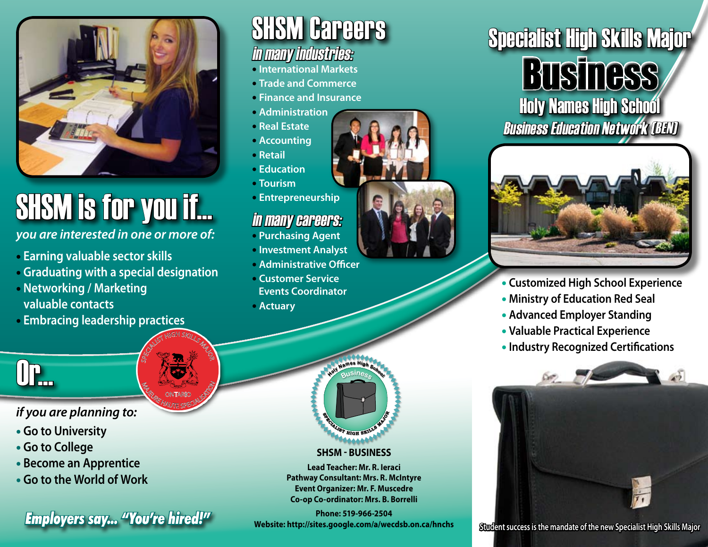

# SHSM is for you if...

*you are interested in one or more of:* 

- • **Earning valuable sector skills**
- • **Graduating with a special designation**

SPECIALIST HIGH SKILLS MAJOR

**MAGE CONTARIO SPECIALISM** ONTARIO

- • **Networking / Marketing valuable contacts**
- • **Embracing leadership practices**



### in many industries:

- **International Markets**
- **Trade and Commerce**
- **Finance and Insurance**
- **Administration**
- **Real Estate**
- **Accounting**
- **Retail**
- **Education**
- **Tourism**
- **Entrepreneurship**

### in many careers:

- **Purchasing Agent**
- **Investment Analyst**
- **Administrative Officer**
- **Customer Service Events Coordinator**
- **Actuary**







- **Customized High School Experience**
- **Ministry of Education Red Seal**
- **Advanced Employer Standing**
- **Valuable Practical Experience**
- **Industry Recognized Certifications**



## $\mathsf{I}\mathbf{F}_{\mathbf{m}}$

### *if you are planning to:*

- **Go to University**
- **Go to College**
- **Become an Apprentice**
- **Go to the World of Work**

### **<sup>S</sup>PECIALIS<sup>T</sup> <sup>H</sup>IG<sup>H</sup> <sup>S</sup>KILL<sup>S</sup> <sup>M</sup>AJ<sup>O</sup> SP R<sup>E</sup>CIAL**MONT BLOW BLOCK AND BOARD AND COMPANY

**<sup>B</sup>usines<sup>s</sup>**

#### **SHSM - Business**

**Lead Teacher: Mr. R. Ieraci Pathway Consultant: Mrs. R. McIntyre Event Organizer: Mr. F. Muscedre Co-op Co-ordinator: Mrs. B. Borrelli**

**Phone: 519-966-2504 Website: http://sites.google.com/a/wecdsb.on.ca/hnchs Student success is the mandate of the new Specialist High Skills Major** *Employers say... "You're hired!"*